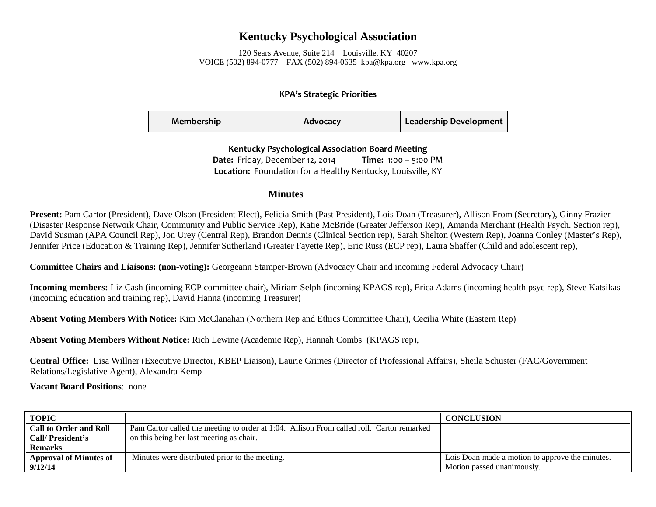## **Kentucky Psychological Association**

120 Sears Avenue, Suite 214 Louisville, KY 40207 VOICE (502) 894-0777 FAX (502) 894-0635 [kpa@kpa.org](mailto:kpa@kih.net) [www.kpa.org](http://www.kpa.org/)

## **KPA's Strategic Priorities**

| Membership | Advocacy | Leadership Development |
|------------|----------|------------------------|
|------------|----------|------------------------|

**Kentucky Psychological Association Board Meeting Date:** Friday, December 12, 2014 **Time:** 1:00 – 5:00 PM **Location:** Foundation for a Healthy Kentucky, Louisville, KY

## **Minutes**

**Present:** Pam Cartor (President), Dave Olson (President Elect), Felicia Smith (Past President), Lois Doan (Treasurer), Allison From (Secretary), Ginny Frazier (Disaster Response Network Chair, Community and Public Service Rep), Katie McBride (Greater Jefferson Rep), Amanda Merchant (Health Psych. Section rep), David Susman (APA Council Rep), Jon Urey (Central Rep), Brandon Dennis (Clinical Section rep), Sarah Shelton (Western Rep), Joanna Conley (Master's Rep), Jennifer Price (Education & Training Rep), Jennifer Sutherland (Greater Fayette Rep), Eric Russ (ECP rep), Laura Shaffer (Child and adolescent rep),

**Committee Chairs and Liaisons: (non-voting):** Georgeann Stamper-Brown (Advocacy Chair and incoming Federal Advocacy Chair)

**Incoming members:** Liz Cash (incoming ECP committee chair), Miriam Selph (incoming KPAGS rep), Erica Adams (incoming health psyc rep), Steve Katsikas (incoming education and training rep), David Hanna (incoming Treasurer)

**Absent Voting Members With Notice:** Kim McClanahan (Northern Rep and Ethics Committee Chair), Cecilia White (Eastern Rep)

**Absent Voting Members Without Notice:** Rich Lewine (Academic Rep), Hannah Combs (KPAGS rep),

**Central Office:** Lisa Willner (Executive Director, KBEP Liaison), Laurie Grimes (Director of Professional Affairs), Sheila Schuster (FAC/Government Relations/Legislative Agent), Alexandra Kemp

**Vacant Board Positions**: none

| <b>TOPIC</b>                  |                                                                                           | <b>CONCLUSION</b>                               |
|-------------------------------|-------------------------------------------------------------------------------------------|-------------------------------------------------|
| <b>Call to Order and Roll</b> | Pam Cartor called the meeting to order at 1:04. Allison From called roll. Cartor remarked |                                                 |
| Call/President's              | on this being her last meeting as chair.                                                  |                                                 |
| <b>Remarks</b>                |                                                                                           |                                                 |
| <b>Approval of Minutes of</b> | Minutes were distributed prior to the meeting.                                            | Lois Doan made a motion to approve the minutes. |
| 9/12/14                       |                                                                                           | Motion passed unanimously.                      |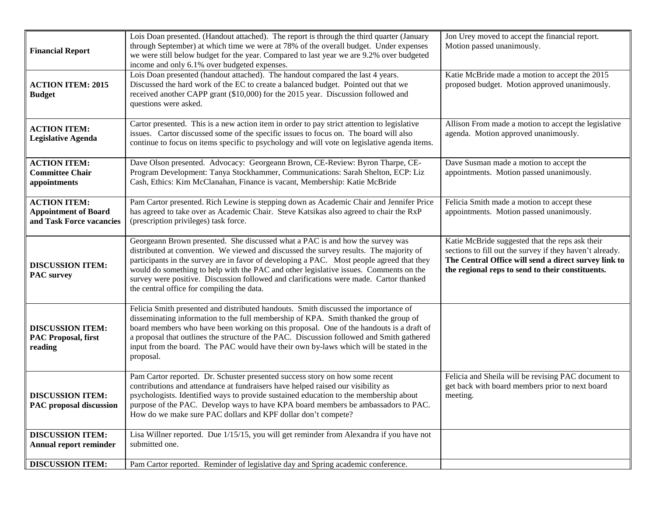| <b>Financial Report</b>                                                        | Lois Doan presented. (Handout attached). The report is through the third quarter (January<br>through September) at which time we were at 78% of the overall budget. Under expenses<br>we were still below budget for the year. Compared to last year we are 9.2% over budgeted<br>income and only 6.1% over budgeted expenses.                                                                                                                                                                        | Jon Urey moved to accept the financial report.<br>Motion passed unanimously.                                                                                                                                            |
|--------------------------------------------------------------------------------|-------------------------------------------------------------------------------------------------------------------------------------------------------------------------------------------------------------------------------------------------------------------------------------------------------------------------------------------------------------------------------------------------------------------------------------------------------------------------------------------------------|-------------------------------------------------------------------------------------------------------------------------------------------------------------------------------------------------------------------------|
| <b>ACTION ITEM: 2015</b><br><b>Budget</b>                                      | Lois Doan presented (handout attached). The handout compared the last 4 years.<br>Discussed the hard work of the EC to create a balanced budget. Pointed out that we<br>received another CAPP grant (\$10,000) for the 2015 year. Discussion followed and<br>questions were asked.                                                                                                                                                                                                                    | Katie McBride made a motion to accept the 2015<br>proposed budget. Motion approved unanimously.                                                                                                                         |
| <b>ACTION ITEM:</b><br><b>Legislative Agenda</b>                               | Cartor presented. This is a new action item in order to pay strict attention to legislative<br>issues. Cartor discussed some of the specific issues to focus on. The board will also<br>continue to focus on items specific to psychology and will vote on legislative agenda items.                                                                                                                                                                                                                  | Allison From made a motion to accept the legislative<br>agenda. Motion approved unanimously.                                                                                                                            |
| <b>ACTION ITEM:</b><br><b>Committee Chair</b><br>appointments                  | Dave Olson presented. Advocacy: Georgeann Brown, CE-Review: Byron Tharpe, CE-<br>Program Development: Tanya Stockhammer, Communications: Sarah Shelton, ECP: Liz<br>Cash, Ethics: Kim McClanahan, Finance is vacant, Membership: Katie McBride                                                                                                                                                                                                                                                        | Dave Susman made a motion to accept the<br>appointments. Motion passed unanimously.                                                                                                                                     |
| <b>ACTION ITEM:</b><br><b>Appointment of Board</b><br>and Task Force vacancies | Pam Cartor presented. Rich Lewine is stepping down as Academic Chair and Jennifer Price<br>has agreed to take over as Academic Chair. Steve Katsikas also agreed to chair the RxP<br>(prescription privileges) task force.                                                                                                                                                                                                                                                                            | Felicia Smith made a motion to accept these<br>appointments. Motion passed unanimously.                                                                                                                                 |
| <b>DISCUSSION ITEM:</b><br><b>PAC</b> survey                                   | Georgeann Brown presented. She discussed what a PAC is and how the survey was<br>distributed at convention. We viewed and discussed the survey results. The majority of<br>participants in the survey are in favor of developing a PAC. Most people agreed that they<br>would do something to help with the PAC and other legislative issues. Comments on the<br>survey were positive. Discussion followed and clarifications were made. Cartor thanked<br>the central office for compiling the data. | Katie McBride suggested that the reps ask their<br>sections to fill out the survey if they haven't already.<br>The Central Office will send a direct survey link to<br>the regional reps to send to their constituents. |
| <b>DISCUSSION ITEM:</b><br><b>PAC Proposal, first</b><br>reading               | Felicia Smith presented and distributed handouts. Smith discussed the importance of<br>disseminating information to the full membership of KPA. Smith thanked the group of<br>board members who have been working on this proposal. One of the handouts is a draft of<br>a proposal that outlines the structure of the PAC. Discussion followed and Smith gathered<br>input from the board. The PAC would have their own by-laws which will be stated in the<br>proposal.                             |                                                                                                                                                                                                                         |
| <b>DISCUSSION ITEM:</b><br><b>PAC</b> proposal discussion                      | Pam Cartor reported. Dr. Schuster presented success story on how some recent<br>contributions and attendance at fundraisers have helped raised our visibility as<br>psychologists. Identified ways to provide sustained education to the membership about<br>purpose of the PAC. Develop ways to have KPA board members be ambassadors to PAC.<br>How do we make sure PAC dollars and KPF dollar don't compete?                                                                                       | Felicia and Sheila will be revising PAC document to<br>get back with board members prior to next board<br>meeting.                                                                                                      |
| <b>DISCUSSION ITEM:</b><br><b>Annual report reminder</b>                       | Lisa Willner reported. Due 1/15/15, you will get reminder from Alexandra if you have not<br>submitted one.                                                                                                                                                                                                                                                                                                                                                                                            |                                                                                                                                                                                                                         |
| <b>DISCUSSION ITEM:</b>                                                        | Pam Cartor reported. Reminder of legislative day and Spring academic conference.                                                                                                                                                                                                                                                                                                                                                                                                                      |                                                                                                                                                                                                                         |